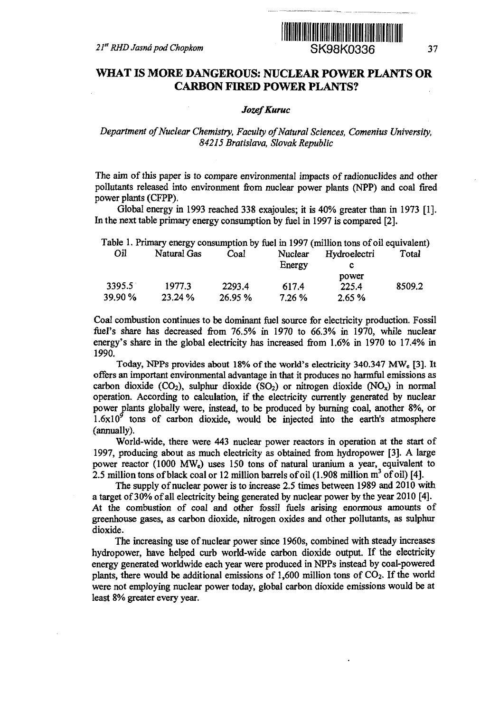

# **WHAT IS MORE DANGEROUS: NUCLEAR POWER PLANTS OR CARBON FIRED POWER PLANTS?**

### *Jozef Kuruc*

## *Department of Nuclear Chemistry, Faculty of Natural Sciences, Comenius University, 84215 Bratislava, Slovak Republic*

The aim of this paper is to compare environmental impacts of radionuclides and other pollutants released into environment from nuclear power plants (NPP) and coal fired power plants (CFPP).

Global energy in 1993 reached 338 exajoules; it is 40% greater than in 1973 [1]. In the next table primary energy consumption by fuel in 1997 is compared [2].

|         |             |         |         | Table 1. Primary energy consumption by fuel in 1997 (million tons of oil equivalent) |        |
|---------|-------------|---------|---------|--------------------------------------------------------------------------------------|--------|
| Oil     | Natural Gas | Coal    | Nuclear | Hydroelectri                                                                         | Total  |
|         |             |         | Energy  |                                                                                      |        |
|         |             |         |         | power                                                                                |        |
| 3395.5  | 1977.3      | 2293.4  | 617.4   | 225.4                                                                                | 8509.2 |
| 39.90 % | 23.24 %     | 26.95 % | 7.26%   | 2.65%                                                                                |        |

Coal combustion continues to be dominant fuel source for electricity production. Fossil fuel's share has decreased from 76.5% in 1970 to 66.3% in 1970, while nuclear energy's share in the global electricity has increased from 1.6% in 1970 to 17.4% in 1990.

Today, NPPs provides about 18% of the world's electricity 340.347 MWe [3]. It offers an important environmental advantage in that it produces no harmful emissions as carbon dioxide (CO<sub>2</sub>), sulphur dioxide (SO<sub>2</sub>) or nitrogen dioxide (NO<sub>x</sub>) in normal operation. According to calculation, if the electricity currently generated by nuclear power plants globally were, instead, to be produced by burning coal, another 8%, or  $1.6x10<sup>9</sup>$  tons of carbon dioxide, would be injected into the earth's atmosphere (annually).

World-wide, there were 443 nuclear power reactors in operation at the start of 1997, producing about as much electricity as obtained from hydropower [3]. A large power reactor (1000 MWe) uses 150 tons of natural uranium a year, equivalent to 2.5 million tons of black coal or 12 million barrels of oil (1.908 million  $m^3$  of oil) [4].

The supply of nuclear power is to increase 2.5 times between 1989 and 2010 with a target of 30% of all electricity being generated by nuclear power by the year 2010 [4]. At the combustion of coal and other fossil fuels arising enormous amounts of greenhouse gases, as carbon dioxide, nitrogen oxides and other pollutants, as sulphur dioxide.

The increasing use of nuclear power since 1960s, combined with steady increases hydropower, have helped curb world-wide carbon dioxide output. If the electricity energy generated worldwide each year were produced in NPPs instead by coal-powered plants, there would be additional emissions of 1,600 million tons of  $CO<sub>2</sub>$ . If the world were not employing nuclear power today, global carbon dioxide emissions would be at least 8% greater every year.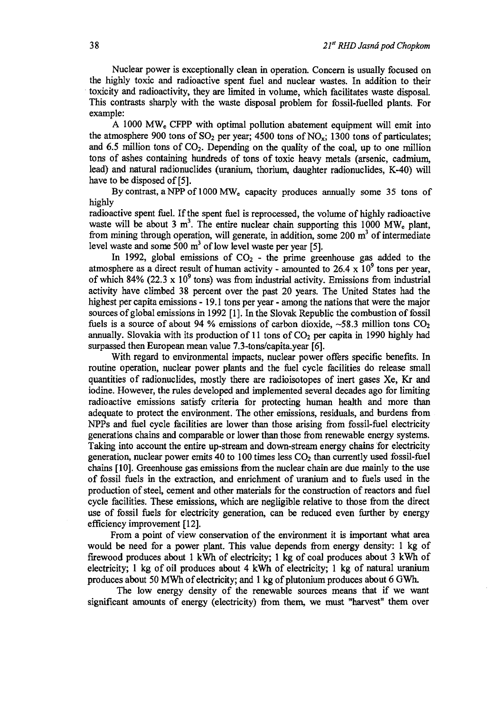Nuclear power is exceptionally clean in operation. Concern is usually focused on the highly toxic and radioactive spent fuel and nuclear wastes. In addition to their toxicity and radioactivity, they are limited in volume, which facilitates waste disposal. This contrasts sharply with the waste disposal problem for fossil-fuelled plants. For example:

A 1000 MWe CFPP with optimal pollution abatement equipment will emit into the atmosphere 900 tons of  $SO_2$  per year; 4500 tons of  $NO_x$ ; 1300 tons of particulates; and 6.5 million tons of  $CO<sub>2</sub>$ . Depending on the quality of the coal, up to one million tons of ashes containing hundreds of tons of toxic heavy metals (arsenic, cadmium, lead) and natural radionuclides (uranium, thorium, daughter radionuclides, K-40) will have to be disposed of [5].

By contrast, a NPP of 1000 MW<sub>e</sub> capacity produces annually some 35 tons of highly

radioactive spent fuel. If the spent fuel is reprocessed, the volume of highly radioactive waste will be about 3 m<sup>3</sup>. The entire nuclear chain supporting this 1000 MW<sub>e</sub> plant, from mining through operation, will generate, in addition, some 200 m<sup>3</sup> of intermediate level waste and some 500  $m<sup>3</sup>$  of low level waste per year [5].

In 1992, global emissions of  $CO<sub>2</sub>$  - the prime greenhouse gas added to the atmosphere as a direct result of human activity - amounted to 26.4  $\times$  10<sup>9</sup> tons per year, of which 84% (22.3 x  $10^9$  tons) was from industrial activity. Emissions from industrial activity have climbed 38 percent over the past 20 years. The United States had the highest per capita emissions -19.1 tons per year - among the nations that were the major sources of global emissions in 1992 [1]. In the Slovak Republic the combustion of fossil fuels is a source of about 94 % emissions of carbon dioxide,  $\sim$ 58.3 million tons CO<sub>2</sub> annually. Slovakia with its production of  $11$  tons of  $CO<sub>2</sub>$  per capita in 1990 highly had surpassed then European mean value 7.3-tons/capita.year [6].

With regard to environmental impacts, nuclear power offers specific benefits. In routine operation, nuclear power plants and the fuel cycle facilities do release small quantities of radionuclides, mostly there are radioisotopes of inert gases Xe, Kr and iodine. However, the rules developed and implemented several decades ago for limiting radioactive emissions satisfy criteria for protecting human health and more than adequate to protect the environment. The other emissions, residuals, and burdens from NPPs and fuel cycle facilities are lower than those arising from fossil-fuel electricity generations chains and comparable or lower than those from renewable energy systems. Taking into account the entire up-stream and down-stream energy chains for electricity generation, nuclear power emits 40 to 100 times less  $CO<sub>2</sub>$  than currently used fossil-fuel chains [10]. Greenhouse gas emissions from the nuclear chain are due mainly to the use of fossil fuels in the extraction, and enrichment of uranium and to fuels used in the production of steel, cement and other materials for the construction of reactors and fuel cycle facilities. These emissions, which are negligible relative to those from the direct use of fossil fuels for electricity generation, can be reduced even further by energy efficiency improvement [12].

From a point of view conservation of the environment it is important what area would be need for a power plant. This value depends from energy density: 1 kg of firewood produces about 1 kWh of electricity; 1 kg of coal produces about 3 kWh of electricity; 1 kg of oil produces about 4 kWh of electricity; 1 kg of natural uranium produces about 50 MWh of electricity; and 1 kg of plutonium produces about 6 GWh.

The low energy density of the renewable sources means that if we want significant amounts of energy (electricity) from them, we must "harvest" them over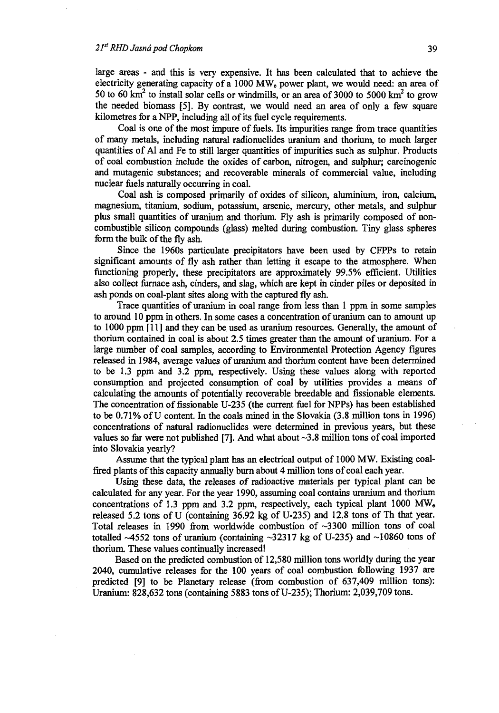large areas - and this is very expensive. It has been calculated that to achieve the electricity generating capacity of a 1000 MW<sub>e</sub> power plant, we would need: an area of 50 to 60  $\text{km}^2$  to install solar cells or windmills, or an area of 3000 to 5000  $\text{km}^2$  to grow the needed biomass [5]. By contrast, we would need an area of only a few square kilometres for a NPP, including all of its fuel cycle requirements.

Coal is one of the most impure of fuels. Its impurities range from trace quantities of many metals, including natural radionuclides uranium and thorium, to much larger quantities of Al and Fe to still larger quantities of impurities such as sulphur. Products of coal combustion include the oxides of carbon, nitrogen, and sulphur; carcinogenic and mutagenic substances; and recoverable minerals of commercial value, including nuclear fuels naturally occurring in coal.

Coal ash is composed primarily of oxides of silicon, aluminium, iron, calcium, magnesium, titanium, sodium, potassium, arsenic, mercury, other metals, and sulphur plus small quantities of uranium and thorium. Fly ash is primarily composed of noncombustible silicon compounds (glass) melted during combustion. Tiny glass spheres form the bulk of the fly ash.

Since the 1960s particulate precipitators have been used by CFPPs to retain significant amounts of fly ash rather than letting it escape to the atmosphere. When functioning properly, these precipitators are approximately 99.5% efficient. Utilities also collect furnace ash, cinders, and slag, which are kept in cinder piles or deposited in ash ponds on coal-plant sites along with the captured fly ash.

Trace quantities of uranium in coal range from less than 1 ppm in some samples to around 10 ppm in others. In some cases a concentration of uranium can to amount up to 1000 ppm [11] and they can be used as uranium resources. Generally, the amount of thorium contained in coal is about 2.5 times greater than the amount of uranium. For a large number of coal samples, according to Environmental Protection Agency figures released in 1984, average values of uranium and thorium content have been determined to be 1.3 ppm and 3.2 ppm, respectively. Using these values along with reported consumption and projected consumption of coal by utilities provides a means of calculating the amounts of potentially recoverable breedable and fissionable elements. The concentration of fissionable U-235 (the current fuel for NPPs) has been established to be 0.71% of U content. In the coals mined in the Slovakia (3.8 million tons in 1996) concentrations of natural radionuclides were determined in previous years, but these values so far were not published [7]. And what about  $\sim$ 3.8 million tons of coal imported into Slovakia yearly?

Assume that the typical plant has an electrical output of 1000 MW. Existing coalfired plants of this capacity annually burn about 4 million tons of coal each year.

Using these data, the releases of radioactive materials per typical plant can be calculated for any year. For the year 1990, assuming coal contains uranium and thorium concentrations of 1.3 ppm and 3.2 ppm, respectively, each typical plant 1000 MW<sup>e</sup> released 5.2 tons of U (containing 36.92 kg of U-235) and 12.8 tons of Th that year. Total releases in 1990 from worldwide combustion of  $\sim$ 3300 million tons of coal totalled  $\sim$ 4552 tons of uranium (containing  $\sim$ 32317 kg of U-235) and  $\sim$ 10860 tons of thorium. These values continually increased!

Based on the predicted combustion of 12,580 million tons worldly during the year 2040, cumulative releases for the 100 years of coal combustion following 1937 are predicted [9] to be Planetary release (from combustion of 637,409 million tons): Uranium: 828,632 tons (containing 5883 tons of U-235); Thorium: 2,039,709 tons.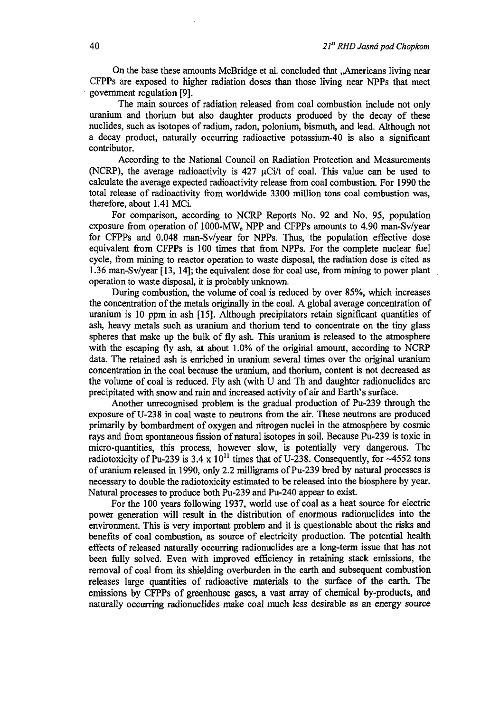On the base these amounts McBridge et al. concluded that ,,Americans living near CFPPs are exposed to higher radiation doses than those living near NPPs that meet government regulation [9].

The main sources of radiation released from coal combustion include not only uranium and thorium but also daughter products produced by the decay of these nuclides, such as isotopes of radium, radon, polonium, bismuth, and lead. Although not a decay product, naturally occurring radioactive potassium-40 is also a significant contributor.

According to the National Council on Radiation Protection and Measurements (NCRP), the average radioactivity is 427  $\mu$ Ci/t of coal. This value can be used to calculate the average expected radioactivity release from coal combustion. For 1990 the total release of radioactivity from worldwide 3300 million tons coal combustion was, therefore, about 1.41 MCi.

For comparison, according to NCRP Reports No. 92 and No. 95, population exposure from operation of 1000-MWe NPP and CFPPs amounts to 4.90 man-Sv/year for CFPPs and 0.048 man-Sv/year for NPPs. Thus, the population effective dose equivalent from CFPPs is 100 times that from NPPs. For the complete nuclear fuel cycle, from mining to reactor operation to waste disposal, the radiation dose is cited as 1.36 man-Sv/year [13,14]; the equivalent dose for coal use, from mining to power plant operation to waste disposal, it is probably unknown.

During combustion, the volume of coal is reduced by over 85%, which increases the concentration of the metals originally in the coal. A global average concentration of uranium is 10 ppm in ash [15]. Although precipitators retain significant quantities of ash, heavy metals such as uranium and thorium tend to concentrate on the tiny glass spheres that make up the bulk of fly ash. This uranium is released to the atmosphere with the escaping fly ash, at about 1.0% of the original amount, according to NCRP data. The retained ash is enriched in uranium several times over the original uranium concentration in the coal because the uranium, and thorium, content is not decreased as the volume of coal is reduced. Fly ash (with U and Th and daughter radionuclides are precipitated with snow and rain and increased activity of air and Earth's surface.

Another unrecognised problem is the gradual production of Pu-239 through the exposure of U-238 in coal waste to neutrons from the air. These neutrons are produced primarily by bombardment of oxygen and nitrogen nuclei in the atmosphere by cosmic rays and from spontaneous fission of natural isotopes in soil. Because Pu-239 is toxic in micro-quantities, this process, however slow, is potentially very dangerous. The radiotoxicity of Pu-239 is 3.4  $\times$  10<sup>11</sup> times that of U-238. Consequently, for ~4552 tons of uranium released in 1990, only 2.2 milligrams of Pu-239 bred by natural processes is necessary to double the radiotoxicity estimated to be released into the biosphere by year. Natural processes to produce both Pu-239 and Pu-240 appear to exist.

For the 100 years following 1937, world use of coal as a heat source for electric power generation will result in the distribution of enormous radionuclides into the environment. This is very important problem and it is questionable about the risks and benefits of coal combustion, as source of electricity production. The potential health effects of released naturally occurring radionuclides are a long-term issue that has not been fully solved. Even with improved efficiency in retaining stack emissions, the removal of coal from its shielding overburden in the earth and subsequent combustion releases large quantities of radioactive materials to the surface of the earth. The emissions by CFPPs of greenhouse gases, a vast array of chemical by-products, and naturally occurring radionuclides make coal much less desirable as an energy source